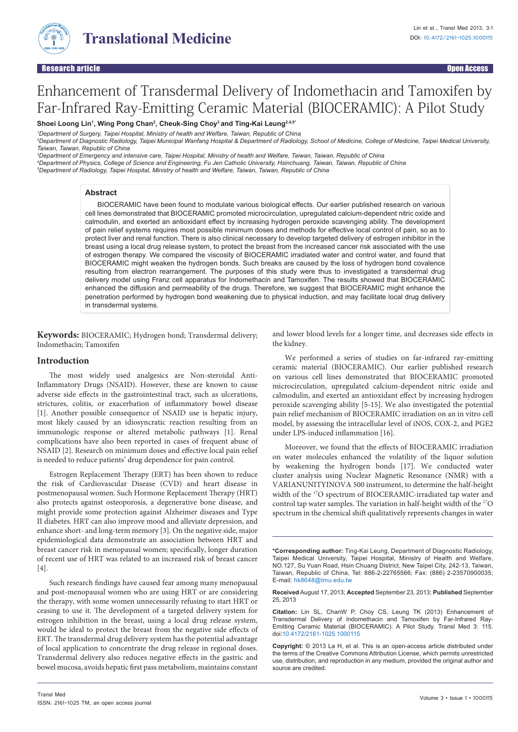

# Enhancement of Transdermal Delivery of Indomethacin and Tamoxifen by Far-Infrared Ray-Emitting Ceramic Material (BIOCERAMIC): A Pilot Study

**Shoei Loong Lin1 , Wing Pong Chan2 , Cheuk-Sing Choy3 and Ting-Kai Leung2,4,5\***

*1 Department of Surgery, Taipei Hospital, Ministry of health and Welfare, Taiwan, Republic of China 2 Department of Diagnostic Radiology, Taipei Municipal Wanfang Hospital & Department of Radiology, School of Medicine, College of Medicine, Taipei Medical University, Taiwan, Taiwan, Republic of China*

*3 Department of Emergency and intensive care, Taipei Hospital, Ministry of health and Welfare, Taiwan, Taiwan, Republic of China*

*4 Department of Physics, College of Science and Engineering, Fu Jen Catholic University, Hsinchuang, Taiwan, Taiwan, Republic of China* 

*5 Department of Radiology, Taipei Hospital, Ministry of health and Welfare, Taiwan, Taiwan, Republic of China*

#### **Abstract**

BIOCERAMIC have been found to modulate various biological effects. Our earlier published research on various cell lines demonstrated that BIOCERAMIC promoted microcirculation, upregulated calcium-dependent nitric oxide and calmodulin, and exerted an antioxidant effect by increasing hydrogen peroxide scavenging ability. The development of pain relief systems requires most possible minimum doses and methods for effective local control of pain, so as to protect liver and renal function. There is also clinical necessary to develop targeted delivery of estrogen inhibitor in the breast using a local drug release system, to protect the breast from the increased cancer risk associated with the use of estrogen therapy. We compared the viscosity of BIOCERAMIC irradiated water and control water, and found that BIOCERAMIC might weaken the hydrogen bonds. Such breaks are caused by the loss of hydrogen bond covalence resulting from electron rearrangement. The purposes of this study were thus to investigated a transdermal drug delivery model using Franz cell apparatus for Indomethacin and Tamoxifen. The results showed that BIOCERAMIC enhanced the diffusion and permeability of the drugs. Therefore, we suggest that BIOCERAMIC might enhance the penetration performed by hydrogen bond weakening due to physical induction, and may facilitate local drug delivery in transdermal systems.

**Keywords:** BIOCERAMIC; Hydrogen bond; Transdermal delivery; Indomethacin; Tamoxifen

#### **Introduction**

The most widely used analgesics are Non-steroidal Anti-Inflammatory Drugs (NSAID). However, these are known to cause adverse side effects in the gastrointestinal tract, such as ulcerations, strictures, colitis, or exacerbation of inflammatory bowel disease [1]. Another possible consequence of NSAID use is hepatic injury, most likely caused by an idiosyncratic reaction resulting from an immunologic response or altered metabolic pathways [1]. Renal complications have also been reported in cases of frequent abuse of NSAID [2]. Research on minimum doses and effective local pain relief is needed to reduce patients' drug dependence for pain control.

Estrogen Replacement Therapy (ERT) has been shown to reduce the risk of Cardiovascular Disease (CVD) and heart disease in postmenopausal women. Such Hormone Replacement Therapy (HRT) also protects against osteoporosis, a degenerative bone disease, and might provide some protection against Alzheimer diseases and Type II diabetes. HRT can also improve mood and alleviate depression, and enhance short- and long-term memory [3]. On the negative side, major epidemiological data demonstrate an association between HRT and breast cancer risk in menopausal women; specifically, longer duration of recent use of HRT was related to an increased risk of breast cancer  $[4]$ .

Such research findings have caused fear among many menopausal and post-menopausal women who are using HRT or are considering the therapy, with some women unnecessarily refusing to start HRT or ceasing to use it. The development of a targeted delivery system for estrogen inhibition in the breast, using a local drug release system, would be ideal to protect the breast from the negative side effects of ERT. The transdermal drug delivery system has the potential advantage of local application to concentrate the drug release in regional doses. Transdermal delivery also reduces negative effects in the gastric and bowel mucosa, avoids hepatic first pass metabolism, maintains constant and lower blood levels for a longer time, and decreases side effects in the kidney.

We performed a series of studies on far-infrared ray-emitting ceramic material (BIOCERAMIC). Our earlier published research on various cell lines demonstrated that BIOCERAMIC promoted microcirculation, upregulated calcium-dependent nitric oxide and calmodulin, and exerted an antioxidant effect by increasing hydrogen peroxide scavenging ability [5-15]. We also investigated the potential pain relief mechanism of BIOCERAMIC irradiation on an in vitro cell model, by assessing the intracellular level of iNOS, COX-2, and PGE2 under LPS-induced inflammation [16].

Moreover, we found that the effects of BIOCERAMIC irradiation on water molecules enhanced the volatility of the liquor solution by weakening the hydrogen bonds [17]. We conducted water cluster analysis using Nuclear Magnetic Resonance (NMR) with a VARIANUNITYINOVA 500 instrument, to determine the half-height width of the 17O spectrum of BIOCERAMIC-irradiated tap water and control tap water samples. The variation in half-height width of the 17O spectrum in the chemical shift qualitatively represents changes in water

**<sup>\*</sup>Corresponding author:** Ting-Kai Leung, Department of Diagnostic Radiology, Taipei Medical University, Taipei Hospital, Ministry of Health and Welfare, NO.127, Su Yuan Road, Hsin Chuang District, New Taipei City, 242-13, Taiwan, Taiwan, Republic of China, Tel: 886-2-22765566; Fax: (886) 2-23570900035; E-mail: hk8648@tmu.edu.tw

**Received**August 17, 2013; **Accepted** September 23, 2013; **Published** September 25, 2013

**Citation:** Lin SL, ChanW P, Choy CS, Leung TK (2013) Enhancement of Transdermal Delivery of Indomethacin and Tamoxifen by Far-Infrared Ray-Emitting Ceramic Material (BIOCERAMIC): A Pilot Study. Transl Med 3: 115. doi:10.4172/2161-1025.1000115

**Copyright:** © 2013 La H, et al. This is an open-access article distributed under the terms of the Creative Commons Attribution License, which permits unrestricted use, distribution, and reproduction in any medium, provided the original author and source are credited.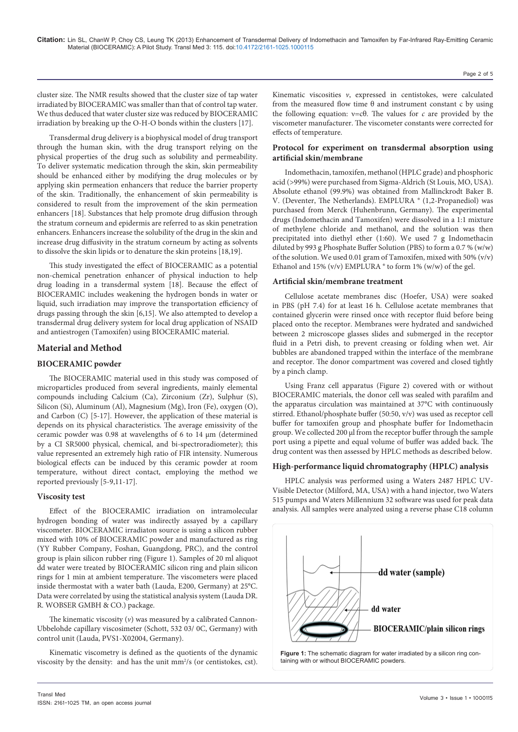Page 2 of 5

cluster size. The NMR results showed that the cluster size of tap water irradiated by BIOCERAMIC was smaller than that of control tap water. We thus deduced that water cluster size was reduced by BIOCERAMIC irradiation by breaking up the O-H-O bonds within the clusters [17].

Transdermal drug delivery is a biophysical model of drug transport through the human skin, with the drug transport relying on the physical properties of the drug such as solubility and permeability. To deliver systematic medication through the skin, skin permeability should be enhanced either by modifying the drug molecules or by applying skin permeation enhancers that reduce the barrier property of the skin. Traditionally, the enhancement of skin permeability is considered to result from the improvement of the skin permeation enhancers [18]. Substances that help promote drug diffusion through the stratum corneum and epidermis are referred to as skin penetration enhancers. Enhancers increase the solubility of the drug in the skin and increase drug diffusivity in the stratum corneum by acting as solvents to dissolve the skin lipids or to denature the skin proteins [18,19].

This study investigated the effect of BIOCERAMIC as a potential non-chemical penetration enhancer of physical induction to help drug loading in a transdermal system [18]. Because the effect of BIOCERAMIC includes weakening the hydrogen bonds in water or liquid, such irradiation may improve the transportation efficiency of drugs passing through the skin [6,15]. We also attempted to develop a transdermal drug delivery system for local drug application of NSAID and antiestrogen (Tamoxifen) using BIOCERAMIC material.

# **Material and Method**

# **BIOCERAMIC powder**

The BIOCERAMIC material used in this study was composed of microparticles produced from several ingredients, mainly elemental compounds including Calcium (Ca), Zirconium (Zr), Sulphur (S), Silicon (Si), Aluminum (Al), Magnesium (Mg), Iron (Fe), oxygen (O), and Carbon (C) [5-17]. However, the application of these material is depends on its physical characteristics. The average emissivity of the ceramic powder was 0.98 at wavelengths of 6 to 14 μm (determined by a CI SR5000 physical, chemical, and bi-spectroradiometer); this value represented an extremely high ratio of FIR intensity. Numerous biological effects can be induced by this ceramic powder at room temperature, without direct contact, employing the method we reported previously [5-9,11-17].

#### **Viscosity test**

Effect of the BIOCERAMIC irradiation on intramolecular hydrogen bonding of water was indirectly assayed by a capillary viscometer. BIOCERAMIC irradiaton source is using a silicon rubber mixed with 10% of BIOCERAMIC powder and manufactured as ring (YY Rubber Company, Foshan, Guangdong, PRC), and the control group is plain silicon rubber ring (Figure 1). Samples of 20 ml aliquot dd water were treated by BIOCERAMIC silicon ring and plain silicon rings for 1 min at ambient temperature. The viscometers were placed inside thermostat with a water bath (Lauda, E200, Germany) at 25°C. Data were correlated by using the statistical analysis system (Lauda DR. R. WOBSER GMBH & CO.) package.

The kinematic viscosity  $(v)$  was measured by a calibrated Cannon-Ubbelohde capillary viscosimeter (Schott, 532 03/ 0C, Germany) with control unit (Lauda, PVS1-X02004, Germany).

Kinematic viscometry is defined as the quotients of the dynamic viscosity by the density: and has the unit mm<sup>2</sup>/s (or centistokes, cst).

Kinematic viscosities *ν*, expressed in centistokes, were calculated from the measured flow time  $\theta$  and instrument constant c by using the following equation:  $v=c\theta$ . The values for *c* are provided by the viscometer manufacturer. The viscometer constants were corrected for effects of temperature.

# **Protocol for experiment on transdermal absorption using artificial skin/membrane**

Indomethacin, tamoxifen, methanol (HPLC grade) and phosphoric acid (>99%) were purchased from Sigma-Aldrich (St Louis, MO, USA). Absolute ethanol (99.9%) was obtained from Mallinckrodt Baker B. V. (Deventer, The Netherlands). EMPLURA ® (1,2-Propanediol) was purchased from Merck (Huhenbrunn, Germany). The experimental drugs (Indomethacin and Tamoxifen) were dissolved in a 1:1 mixture of methylene chloride and methanol, and the solution was then precipitated into diethyl ether (1:60). We used 7 g Indomethacin diluted by 993 g Phosphate Buffer Solution (PBS) to form a 0.7 % (w/w) of the solution. We used 0.01 gram of Tamoxifen, mixed with 50% (v/v) Ethanol and 15% (v/v) EMPLURA ® to form 1% (w/w) of the gel.

## **Artificial skin/membrane treatment**

Cellulose acetate membranes disc (Hoefer, USA) were soaked in PBS (pH 7.4) for at least 16 h. Cellulose acetate membranes that contained glycerin were rinsed once with receptor fluid before being placed onto the receptor. Membranes were hydrated and sandwiched between 2 microscope glasses slides and submerged in the receptor fluid in a Petri dish, to prevent creasing or folding when wet. Air bubbles are abandoned trapped within the interface of the membrane and receptor. The donor compartment was covered and closed tightly by a pinch clamp.

Using Franz cell apparatus (Figure 2) covered with or without BIOCERAMIC materials, the donor cell was sealed with parafilm and the apparatus circulation was maintained at 37°C with continuously stirred. Ethanol/phosphate buffer (50:50, v/v) was used as receptor cell buffer for tamoxifen group and phosphate buffer for Indomethacin group. We collected 200 μl from the receptor buffer through the sample port using a pipette and equal volume of buffer was added back. The drug content was then assessed by HPLC methods as described below.

# **High-performance liquid chromatography (HPLC) analysis**

HPLC analysis was performed using a Waters 2487 HPLC UV-Visible Detector (Milford, MA, USA) with a hand injector, two Waters 515 pumps and Waters Millennium 32 software was used for peak data analysis. All samples were analyzed using a reverse phase C18 column

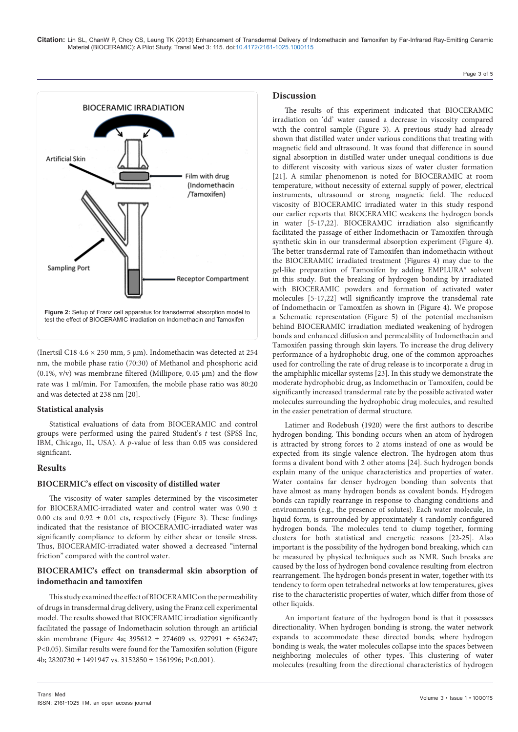

(Inertsil C18 4.6 × 250 mm, 5 μm). Indomethacin was detected at 254 nm, the mobile phase ratio (70:30) of Methanol and phosphoric acid (0.1%,  $v/v$ ) was membrane filtered (Millipore, 0.45  $\mu$ m) and the flow rate was 1 ml/min. For Tamoxifen, the mobile phase ratio was 80:20 and was detected at 238 nm [20].

#### **Statistical analysis**

Statistical evaluations of data from BIOCERAMIC and control groups were performed using the paired Student's *t* test (SPSS Inc, IBM, Chicago, IL, USA). A *p*-value of less than 0.05 was considered significant.

#### **Results**

#### **BIOCERMIC's effect on viscosity of distilled water**

The viscosity of water samples determined by the viscosimeter for BIOCERAMIC-irradiated water and control water was 0.90 ± 0.00 cts and 0.92  $\pm$  0.01 cts, respectively (Figure 3). These findings indicated that the resistance of BIOCERAMIC-irradiated water was significantly compliance to deform by either shear or tensile stress. Thus, BIOCERAMIC-irradiated water showed a decreased "internal friction" compared with the control water.

## **BIOCERAMIC's effect on transdermal skin absorption of indomethacin and tamoxifen**

This study examined the effect of BIOCERAMIC on the permeability of drugs in transdermal drug delivery, using the Franz cell experimental model. The results showed that BIOCERAMIC irradiation significantly facilitated the passage of Indomethacin solution through an artificial skin membrane (Figure 4a; 395612 ± 274609 vs. 927991 ± 656247; P<0.05). Similar results were found for the Tamoxifen solution (Figure 4b; 2820730 ± 1491947 vs. 3152850 ± 1561996; P<0.001).

#### **Discussion**

The results of this experiment indicated that BIOCERAMIC irradiation on 'dd' water caused a decrease in viscosity compared with the control sample (Figure 3). A previous study had already shown that distilled water under various conditions that treating with magnetic field and ultrasound. It was found that difference in sound signal absorption in distilled water under unequal conditions is due to different viscosity with various sizes of water cluster formation [21]. A similar phenomenon is noted for BIOCERAMIC at room temperature, without necessity of external supply of power, electrical instruments, ultrasound or strong magnetic field. The reduced viscosity of BIOCERAMIC irradiated water in this study respond our earlier reports that BIOCERAMIC weakens the hydrogen bonds in water [5-17,22]. BIOCERAMIC irradiation also significantly facilitated the passage of either Indomethacin or Tamoxifen through synthetic skin in our transdermal absorption experiment (Figure 4). The better transdermal rate of Tamoxifen than indomethacin without the BIOCERAMIC irradiated treatment (Figures 4) may due to the gel-like preparation of Tamoxifen by adding EMPLURA® solvent in this study. But the breaking of hydrogen bonding by irradiated with BIOCERAMIC powders and formation of activated water molecules [5-17,22] will significantly improve the transdemal rate of Indomethacin or Tamoxifen as shown in (Figure 4). We propose a Schematic representation (Figure 5) of the potential mechanism behind BIOCERAMIC irradiation mediated weakening of hydrogen bonds and enhanced diffusion and permeability of Indomethacin and Tamoxifen passing through skin layers. To increase the drug delivery performance of a hydrophobic drug, one of the common approaches used for controlling the rate of drug release is to incorporate a drug in the amphiphlic micellar systems [23]. In this study we demonstrate the moderate hydrophobic drug, as Indomethacin or Tamoxifen, could be significantly increased transdermal rate by the possible activated water molecules surrounding the hydrophobic drug molecules, and resulted in the easier penetration of dermal structure.

Latimer and Rodebush (1920) were the first authors to describe hydrogen bonding. This bonding occurs when an atom of hydrogen is attracted by strong forces to 2 atoms instead of one as would be expected from its single valence electron. The hydrogen atom thus forms a divalent bond with 2 other atoms [24]. Such hydrogen bonds explain many of the unique characteristics and properties of water. Water contains far denser hydrogen bonding than solvents that have almost as many hydrogen bonds as covalent bonds. Hydrogen bonds can rapidly rearrange in response to changing conditions and environments (e.g., the presence of solutes). Each water molecule, in liquid form, is surrounded by approximately 4 randomly configured hydrogen bonds. The molecules tend to clump together, forming clusters for both statistical and energetic reasons [22-25]. Also important is the possibility of the hydrogen bond breaking, which can be measured by physical techniques such as NMR. Such breaks are caused by the loss of hydrogen bond covalence resulting from electron rearrangement. The hydrogen bonds present in water, together with its tendency to form open tetrahedral networks at low temperatures, gives rise to the characteristic properties of water, which differ from those of other liquids.

An important feature of the hydrogen bond is that it possesses directionality. When hydrogen bonding is strong, the water network expands to accommodate these directed bonds; where hydrogen bonding is weak, the water molecules collapse into the spaces between neighboring molecules of other types. This clustering of water molecules (resulting from the directional characteristics of hydrogen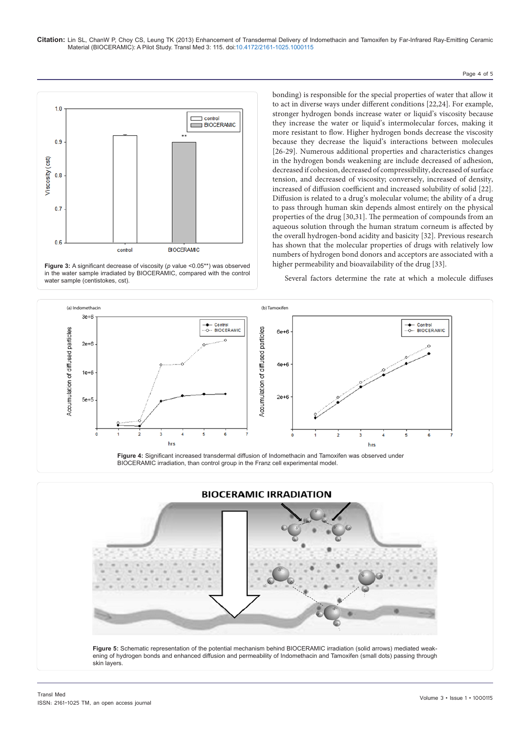#### Page 4 of 5



**Figure 3:** A significant decrease of viscosity (*p* value <0.05<sup>\*\*</sup>) was observed in the water sample irradiated by BIOCERAMIC, compared with the control water sample (centistokes, cst).

bonding) is responsible for the special properties of water that allow it to act in diverse ways under different conditions [22,24]. For example, stronger hydrogen bonds increase water or liquid's viscosity because they increase the water or liquid's intermolecular forces, making it more resistant to flow. Higher hydrogen bonds decrease the viscosity because they decrease the liquid's interactions between molecules [26-29]. Numerous additional properties and characteristics changes in the hydrogen bonds weakening are include decreased of adhesion, decreased if cohesion, decreased of compressibility, decreased of surface tension, and decreased of viscosity; conversely, increased of density, increased of diffusion coefficient and increased solubility of solid [22]. Diffusion is related to a drug's molecular volume; the ability of a drug to pass through human skin depends almost entirely on the physical properties of the drug [30,31]. The permeation of compounds from an aqueous solution through the human stratum corneum is affected by the overall hydrogen-bond acidity and basicity [32]. Previous research has shown that the molecular properties of drugs with relatively low numbers of hydrogen bond donors and acceptors are associated with a higher permeability and bioavailability of the drug [33].

Several factors determine the rate at which a molecule diffuses